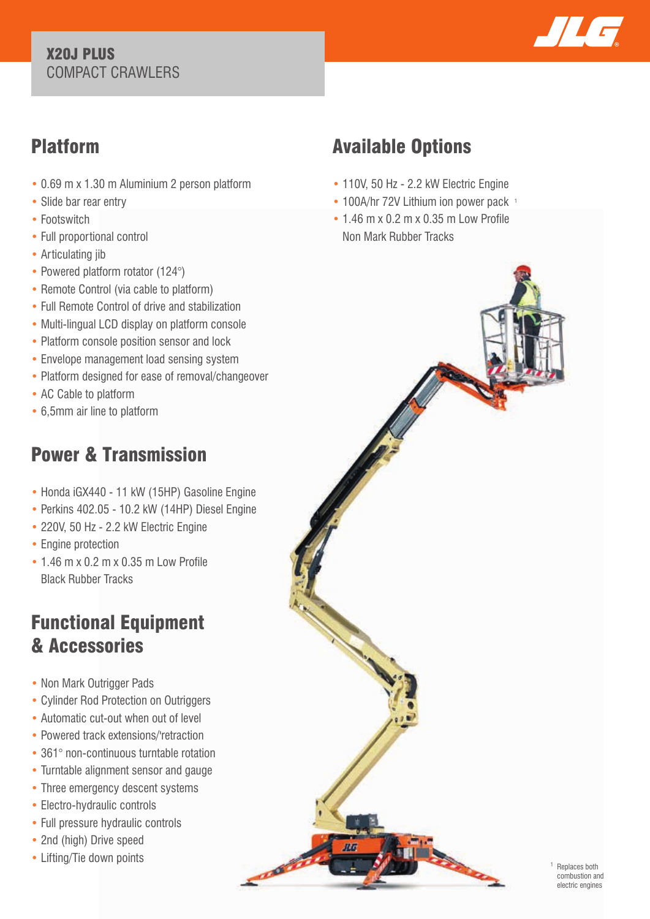#### X20J PLUS COMPACT CRAWLERS



### Platform

- 0.69 m x 1.30 m Aluminium 2 person platform
- Slide bar rear entry
- Footswitch
- Full proportional control
- Articulating jib
- Powered platform rotator (124°)
- Remote Control (via cable to platform)
- Full Remote Control of drive and stabilization
- Multi-lingual LCD display on platform console
- Platform console position sensor and lock
- Envelope management load sensing system
- Platform designed for ease of removal/changeover
- AC Cable to platform
- 6,5mm air line to platform

## Power & Transmission

- Honda iGX440 11 kW (15HP) Gasoline Engine
- Perkins 402.05 10.2 kW (14HP) Diesel Engine
- 220V, 50 Hz 2.2 kW Electric Engine
- Engine protection
- 1.46 m x 0.2 m x 0.35 m Low Profile Black Rubber Tracks

### Functional Equipment & Accessories

- Non Mark Outrigger Pads
- Cylinder Rod Protection on Outriggers
- Automatic cut-out when out of level
- Powered track extensions/'retraction
- 361° non-continuous turntable rotation
- Turntable alignment sensor and gauge
- Three emergency descent systems
- Electro-hydraulic controls
- Full pressure hydraulic controls
- 2nd (high) Drive speed
- Lifting/Tie down points

# Available Options

- 110V, 50 Hz 2.2 kW Electric Engine
- 100A/hr 72V Lithium ion power pack 1
- 1.46 m x 0.2 m x 0.35 m Low Profile Non Mark Rubber Tracks